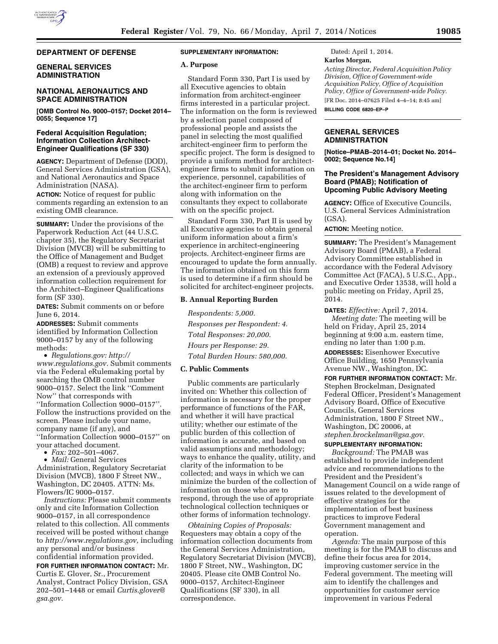#### **DEPARTMENT OF DEFENSE**

## **GENERAL SERVICES ADMINISTRATION**

## **NATIONAL AERONAUTICS AND SPACE ADMINISTRATION**

**[OMB Control No. 9000–0157; Docket 2014– 0055; Sequence 17]** 

## **Federal Acquisition Regulation; Information Collection Architect-Engineer Qualifications (SF 330)**

**AGENCY:** Department of Defense (DOD), General Services Administration (GSA), and National Aeronautics and Space Administration (NASA).

**ACTION:** Notice of request for public comments regarding an extension to an existing OMB clearance.

**SUMMARY:** Under the provisions of the Paperwork Reduction Act (44 U.S.C. chapter 35), the Regulatory Secretariat Division (MVCB) will be submitting to the Office of Management and Budget (OMB) a request to review and approve an extension of a previously approved information collection requirement for the Architect–Engineer Qualifications form (SF 330).

**DATES:** Submit comments on or before June 6, 2014.

**ADDRESSES:** Submit comments identified by Information Collection 9000–0157 by any of the following methods:

• *Regulations.gov: [http://](http://www.regulations.gov) [www.regulations.gov.](http://www.regulations.gov)* Submit comments via the Federal eRulemaking portal by searching the OMB control number 9000–0157. Select the link ''Comment Now'' that corresponds with ''Information Collection 9000–0157''. Follow the instructions provided on the screen. Please include your name, company name (if any), and ''Information Collection 9000–0157'' on your attached document.

• *Fax:* 202–501–4067.

• *Mail:* General Services Administration, Regulatory Secretariat Division (MVCB), 1800 F Street NW., Washington, DC 20405. ATTN: Ms. Flowers/IC 9000–0157.

*Instructions:* Please submit comments only and cite Information Collection 9000–0157, in all correspondence related to this collection. All comments received will be posted without change to *[http://www.regulations.gov,](http://www.regulations.gov)* including any personal and/or business confidential information provided.

**FOR FURTHER INFORMATION CONTACT:** Mr. Curtis E. Glover, Sr., Procurement Analyst, Contract Policy Division, GSA 202–501–1448 or email *[Curtis.glover@](mailto:Curtis.glover@gsa.gov) [gsa.gov.](mailto:Curtis.glover@gsa.gov)* 

#### **SUPPLEMENTARY INFORMATION:**

#### **A. Purpose**

Standard Form 330, Part I is used by all Executive agencies to obtain information from architect-engineer firms interested in a particular project. The information on the form is reviewed by a selection panel composed of professional people and assists the panel in selecting the most qualified architect-engineer firm to perform the specific project. The form is designed to provide a uniform method for architectengineer firms to submit information on experience, personnel, capabilities of the architect-engineer firm to perform along with information on the consultants they expect to collaborate with on the specific project.

Standard Form 330, Part II is used by all Executive agencies to obtain general uniform information about a firm's experience in architect-engineering projects. Architect-engineer firms are encouraged to update the form annually. The information obtained on this form is used to determine if a firm should be solicited for architect-engineer projects.

#### **B. Annual Reporting Burden**

*Respondents: 5,000. Responses per Respondent: 4. Total Responses: 20,000. Hours per Response: 29. Total Burden Hours: 580,000.* 

## **C. Public Comments**

Public comments are particularly invited on: Whether this collection of information is necessary for the proper performance of functions of the FAR, and whether it will have practical utility; whether our estimate of the public burden of this collection of information is accurate, and based on valid assumptions and methodology; ways to enhance the quality, utility, and clarity of the information to be collected; and ways in which we can minimize the burden of the collection of information on those who are to respond, through the use of appropriate technological collection techniques or other forms of information technology.

*Obtaining Copies of Proposals:*  Requesters may obtain a copy of the information collection documents from the General Services Administration, Regulatory Secretariat Division (MVCB), 1800 F Street, NW., Washington, DC 20405. Please cite OMB Control No. 9000–0157, Architect-Engineer Qualifications (SF 330), in all correspondence.

Dated: April 1, 2014.

### **Karlos Morgan,**

*Acting Director, Federal Acquisition Policy Division, Office of Government-wide Acquisition Policy, Office of Acquisition Policy, Office of Government-wide Policy.* 

[FR Doc. 2014–07625 Filed 4–4–14; 8:45 am]

**BILLING CODE 6820–EP–P** 

## **GENERAL SERVICES ADMINISTRATION**

**[Notice–PMAB–2014–01; Docket No. 2014– 0002; Sequence No.14]** 

## **The President's Management Advisory Board (PMAB); Notification of Upcoming Public Advisory Meeting**

**AGENCY:** Office of Executive Councils, U.S. General Services Administration (GSA).

**ACTION:** Meeting notice.

**SUMMARY:** The President's Management Advisory Board (PMAB), a Federal Advisory Committee established in accordance with the Federal Advisory Committee Act (FACA), 5 U.S.C., App., and Executive Order 13538, will hold a public meeting on Friday, April 25, 2014.

**DATES:** *Effective:* April 7, 2014. *Meeting date:* The meeting will be held on Friday, April 25, 2014 beginning at 9:00 a.m. eastern time, ending no later than 1:00 p.m.

**ADDRESSES:** Eisenhower Executive Office Building, 1650 Pennsylvania Avenue NW., Washington, DC.

# **FOR FURTHER INFORMATION CONTACT:** Mr. Stephen Brockelman, Designated Federal Officer, President's Management Advisory Board, Office of Executive Councils, General Services Administration, 1800 F Street NW., Washington, DC 20006, at *[stephen.brockelman@gsa.gov.](mailto:stephen.brockelman@gsa.gov)*

# **SUPPLEMENTARY INFORMATION:**

*Background:* The PMAB was established to provide independent advice and recommendations to the President and the President's Management Council on a wide range of issues related to the development of effective strategies for the implementation of best business practices to improve Federal Government management and operation.

*Agenda:* The main purpose of this meeting is for the PMAB to discuss and define their focus area for 2014, improving customer service in the Federal government. The meeting will aim to identify the challenges and opportunities for customer service improvement in various Federal